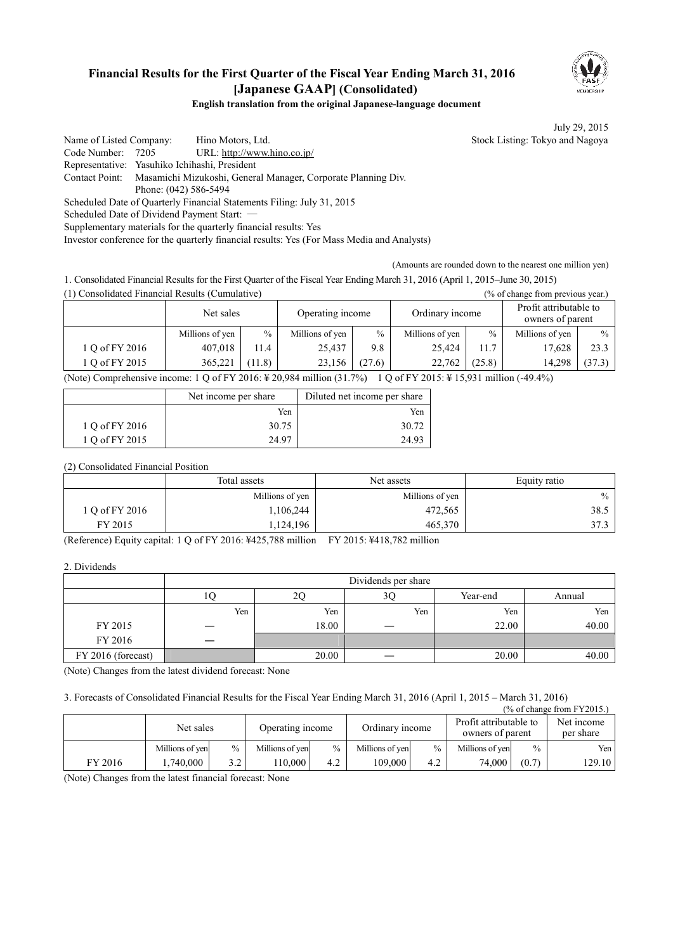# **Financial Results for the First Quarter of the Fiscal Year Ending March 31, 2016 [Japanese GAAP] (Consolidated)**



#### **English translation from the original Japanese-language document**

July 29, 2015

Name of Listed Company: Hino Motors, Ltd. Stock Listing: Tokyo and Nagoya Code Number: 7205 URL: http://www.hino.co.jp/ Representative: Yasuhiko Ichihashi, President Contact Point: Masamichi Mizukoshi, General Manager, Corporate Planning Div. Phone: (042) 586-5494 Scheduled Date of Quarterly Financial Statements Filing: July 31, 2015 Scheduled Date of Dividend Payment Start: -Supplementary materials for the quarterly financial results: Yes

Investor conference for the quarterly financial results: Yes (For Mass Media and Analysts)

(Amounts are rounded down to the nearest one million yen)

1. Consolidated Financial Results for the First Quarter of the Fiscal Year Ending March 31, 2016 (April 1, 2015–June 30, 2015)

(1) Consolidated Financial Results (Cumulative) (% of change from previous year.)

|                                                                                                                                                        | Net sales       |               | Operating income |               | Ordinary income |               | Profit attributable to<br>owners of parent |        |
|--------------------------------------------------------------------------------------------------------------------------------------------------------|-----------------|---------------|------------------|---------------|-----------------|---------------|--------------------------------------------|--------|
|                                                                                                                                                        | Millions of yen | $\frac{0}{0}$ | Millions of yen  | $\frac{0}{0}$ | Millions of yen | $\frac{0}{0}$ | Millions of yen                            | $\%$   |
| 1 Q of FY 2016                                                                                                                                         | 407.018         | 11.4          | 25,437           | 9.8           | 25.424          | 11.7          | 17,628                                     | 23.3   |
| 1 O of FY 2015                                                                                                                                         | 365.221         | (11.8)        | 23.156           | (27.6)        | 22.762          | (25.8)        | 14.298                                     | (37.3) |
| $(1.1)$ $(2.1)$ $(3.1)$ $(1.1)$ $(1.1)$ $(1.1)$ $(2.1)$ $(2.1)$ $(3.1)$ $(2.1)$ $(3.1)$ $(3.1)$ $(4.1)$<br>$1.0.0$ FV $2015.3$ $15.021$ $31.3$ $40.40$ |                 |               |                  |               |                 |               |                                            |        |

(Note) Comprehensive income: 1 Q of FY 2016: ¥ 20,984 million (31.7%) 1 Q of FY 2015: ¥ 15,931 million (-49.4%)

|                | Net income per share | Diluted net income per share |
|----------------|----------------------|------------------------------|
|                | Yen.                 | Yen                          |
| 1 Q of FY 2016 | 30.75                | 30.72                        |
| 1 Q of FY 2015 | 24.97                | 24.93                        |

(2) Consolidated Financial Position

|                | Total assets<br>Net assets |                 | Equity ratio |
|----------------|----------------------------|-----------------|--------------|
|                | Millions of yen            | Millions of yen | $\%$         |
| 1 Q of FY 2016 | 1,106,244                  | 472,565         | 38.5         |
| FY 2015        | 1,124,196                  | 465,370         | 37.3         |

(Reference) Equity capital: 1 Q of FY 2016: ¥425,788 million FY 2015: ¥418,782 million

2. Dividends

|                    | Dividends per share |                                            |     |       |       |  |  |
|--------------------|---------------------|--------------------------------------------|-----|-------|-------|--|--|
|                    | 1V.                 | 3 <sub>C</sub><br>Year-end<br>Annual<br>∠∪ |     |       |       |  |  |
|                    | Yen                 | Yen                                        | Yen | Yen   | Yen   |  |  |
| FY 2015            |                     | 18.00                                      |     | 22.00 | 40.00 |  |  |
| FY 2016            | –                   |                                            |     |       |       |  |  |
| FY 2016 (forecast) |                     | 20.00                                      |     | 20.00 | 40.00 |  |  |

(Note) Changes from the latest dividend forecast: None

3. Forecasts of Consolidated Financial Results for the Fiscal Year Ending March 31, 2016 (April 1, 2015 – March 31, 2016)

|         |                 |      |                  |               |                 |               |                                            |       | $\frac{9}{6}$ of change from FY2015.) |
|---------|-----------------|------|------------------|---------------|-----------------|---------------|--------------------------------------------|-------|---------------------------------------|
|         | Net sales       |      | Operating income |               | Ordinary income |               | Profit attributable to<br>owners of parent |       | Net income<br>per share               |
|         | Millions of yen | $\%$ | Millions of yen  | $\frac{0}{0}$ | Millions of yen | $\frac{0}{0}$ | Millions of yen                            | $\%$  | Yen                                   |
| FY 2016 | .740.000        | 3.2  | 110.000          | 4.2           | 109.000         | 4.2           | 74.000                                     | (0.7) | 129.10                                |

(Note) Changes from the latest financial forecast: None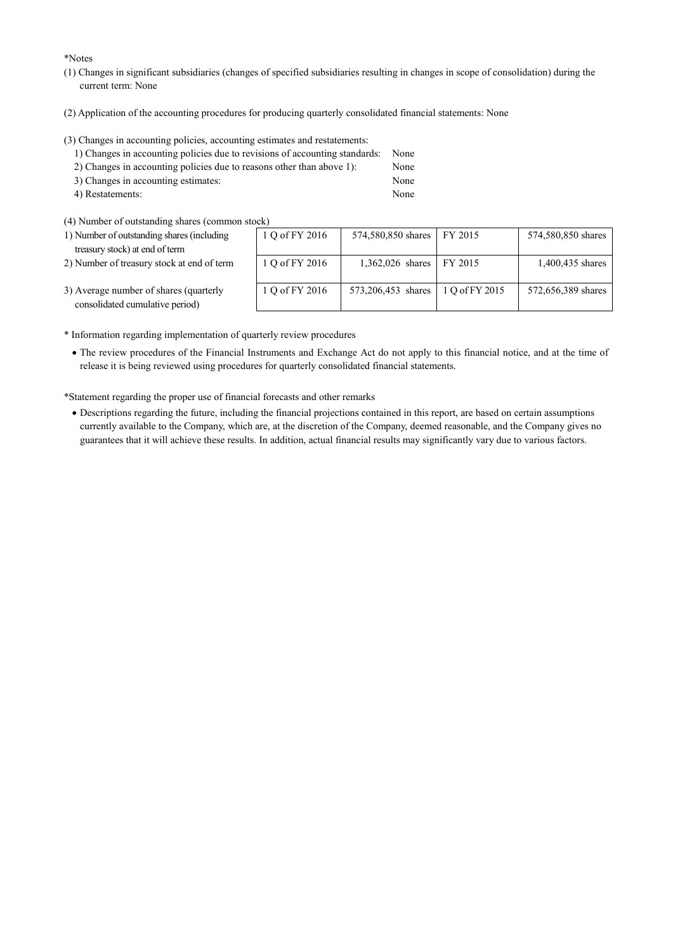\*Notes

- (1) Changes in significant subsidiaries (changes of specified subsidiaries resulting in changes in scope of consolidation) during the current term: None
- (2) Application of the accounting procedures for producing quarterly consolidated financial statements: None

(3) Changes in accounting policies, accounting estimates and restatements:

| 1) Changes in accounting policies due to revisions of accounting standards: | None |
|-----------------------------------------------------------------------------|------|
| 2) Changes in accounting policies due to reasons other than above 1):       | None |
| 3) Changes in accounting estimates:                                         | None |
| 4) Restatements:                                                            | None |

- 
- (4) Number of outstanding shares (common stock)

| 1) Number of outstanding shares (including | $1Q_0$ |
|--------------------------------------------|--------|
| treasury stock) at end of term             |        |

2) Number of treasury stock at end of term

| OCK)           |                    |                |                    |
|----------------|--------------------|----------------|--------------------|
| 1 Q of FY 2016 | 574,580,850 shares | FY 2015        | 574,580,850 shares |
|                |                    |                |                    |
| 1 Q of FY 2016 | 1,362,026 shares   | FY 2015        | 1,400,435 shares   |
| 1 Q of FY 2016 | 573,206,453 shares | 1 Q of FY 2015 | 572,656,389 shares |

- 3) Average number of shares (quarterly consolidated cumulative period)
- \* Information regarding implementation of quarterly review procedures
	- · The review procedures of the Financial Instruments and Exchange Act do not apply to this financial notice, and at the time of release it is being reviewed using procedures for quarterly consolidated financial statements.

\*Statement regarding the proper use of financial forecasts and other remarks

· Descriptions regarding the future, including the financial projections contained in this report, are based on certain assumptions currently available to the Company, which are, at the discretion of the Company, deemed reasonable, and the Company gives no guarantees that it will achieve these results. In addition, actual financial results may significantly vary due to various factors.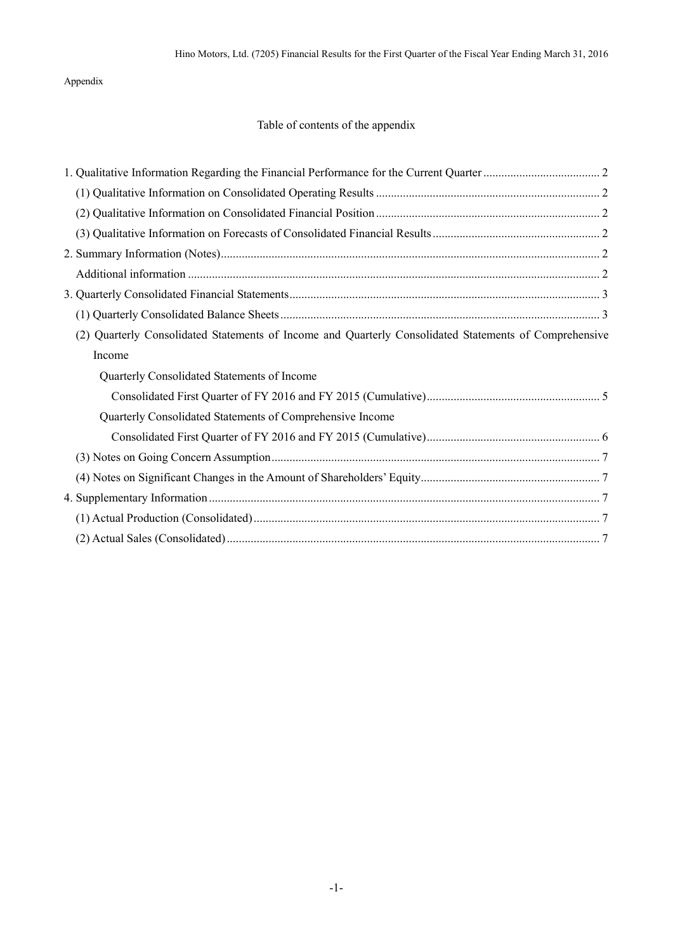## Appendix

## Table of contents of the appendix

| (2) Quarterly Consolidated Statements of Income and Quarterly Consolidated Statements of Comprehensive |  |
|--------------------------------------------------------------------------------------------------------|--|
| Income                                                                                                 |  |
|                                                                                                        |  |
| Quarterly Consolidated Statements of Income                                                            |  |
|                                                                                                        |  |
| Quarterly Consolidated Statements of Comprehensive Income                                              |  |
|                                                                                                        |  |
|                                                                                                        |  |
|                                                                                                        |  |
|                                                                                                        |  |
|                                                                                                        |  |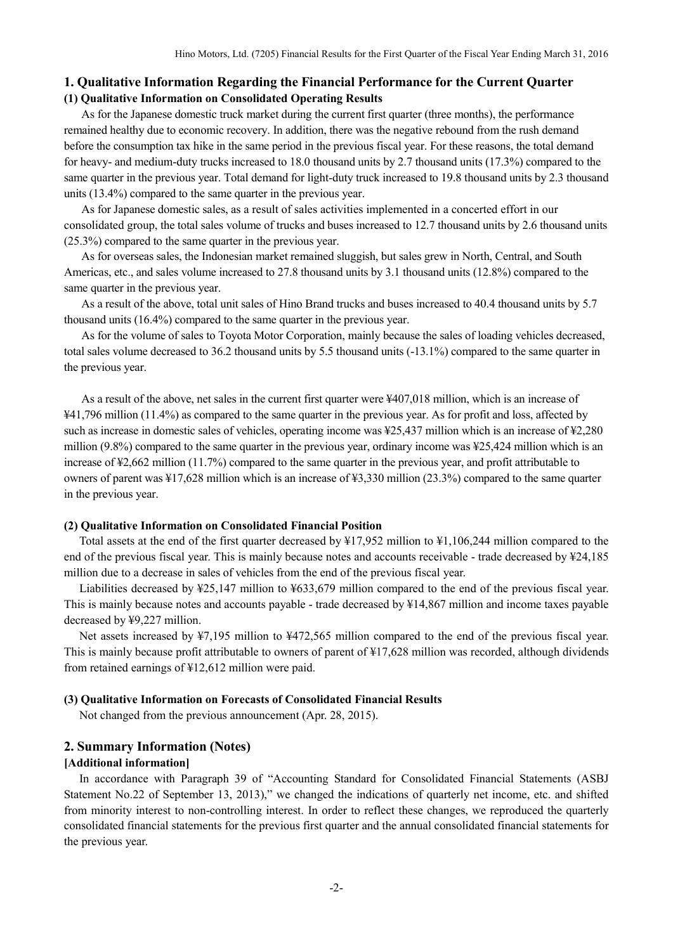### **1. Qualitative Information Regarding the Financial Performance for the Current Quarter (1) Qualitative Information on Consolidated Operating Results**

As for the Japanese domestic truck market during the current first quarter (three months), the performance remained healthy due to economic recovery. In addition, there was the negative rebound from the rush demand before the consumption tax hike in the same period in the previous fiscal year. For these reasons, the total demand for heavy- and medium-duty trucks increased to 18.0 thousand units by 2.7 thousand units (17.3%) compared to the same quarter in the previous year. Total demand for light-duty truck increased to 19.8 thousand units by 2.3 thousand units (13.4%) compared to the same quarter in the previous year.

As for Japanese domestic sales, as a result of sales activities implemented in a concerted effort in our consolidated group, the total sales volume of trucks and buses increased to 12.7 thousand units by 2.6 thousand units (25.3%) compared to the same quarter in the previous year.

As for overseas sales, the Indonesian market remained sluggish, but sales grew in North, Central, and South Americas, etc., and sales volume increased to 27.8 thousand units by 3.1 thousand units (12.8%) compared to the same quarter in the previous year.

As a result of the above, total unit sales of Hino Brand trucks and buses increased to 40.4 thousand units by 5.7 thousand units (16.4%) compared to the same quarter in the previous year.

As for the volume of sales to Toyota Motor Corporation, mainly because the sales of loading vehicles decreased, total sales volume decreased to 36.2 thousand units by 5.5 thousand units (-13.1%) compared to the same quarter in the previous year.

As a result of the above, net sales in the current first quarter were ¥407,018 million, which is an increase of ¥41,796 million (11.4%) as compared to the same quarter in the previous year. As for profit and loss, affected by such as increase in domestic sales of vehicles, operating income was ¥25,437 million which is an increase of ¥2,280 million (9.8%) compared to the same quarter in the previous year, ordinary income was ¥25,424 million which is an increase of ¥2,662 million (11.7%) compared to the same quarter in the previous year, and profit attributable to owners of parent was ¥17,628 million which is an increase of ¥3,330 million (23.3%) compared to the same quarter in the previous year.

#### **(2) Qualitative Information on Consolidated Financial Position**

Total assets at the end of the first quarter decreased by ¥17,952 million to ¥1,106,244 million compared to the end of the previous fiscal year. This is mainly because notes and accounts receivable - trade decreased by ¥24,185 million due to a decrease in sales of vehicles from the end of the previous fiscal year.

Liabilities decreased by ¥25,147 million to ¥633,679 million compared to the end of the previous fiscal year. This is mainly because notes and accounts payable - trade decreased by ¥14,867 million and income taxes payable decreased by ¥9,227 million.

Net assets increased by ¥7,195 million to ¥472,565 million compared to the end of the previous fiscal year. This is mainly because profit attributable to owners of parent of ¥17,628 million was recorded, although dividends from retained earnings of ¥12,612 million were paid.

#### **(3) Qualitative Information on Forecasts of Consolidated Financial Results**

Not changed from the previous announcement (Apr. 28, 2015).

### **2. Summary Information (Notes)**

### **[Additional information]**

In accordance with Paragraph 39 of "Accounting Standard for Consolidated Financial Statements (ASBJ Statement No.22 of September 13, 2013)," we changed the indications of quarterly net income, etc. and shifted from minority interest to non-controlling interest. In order to reflect these changes, we reproduced the quarterly consolidated financial statements for the previous first quarter and the annual consolidated financial statements for the previous year.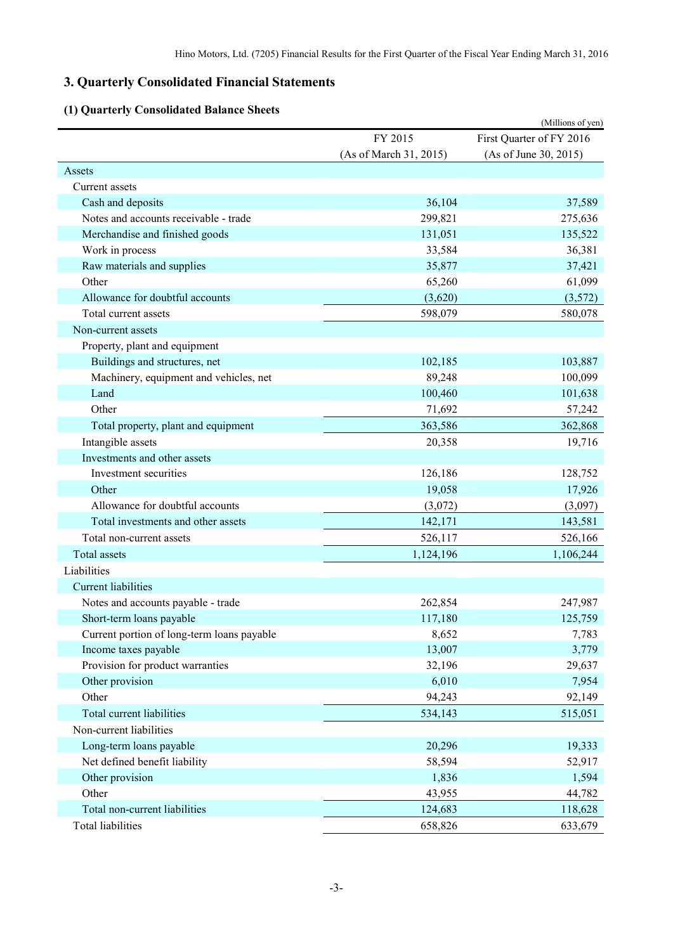# **3. Quarterly Consolidated Financial Statements**

# **(1) Quarterly Consolidated Balance Sheets**

| Vual terry Consolidated Dalance            |                        | (Millions of yen)        |
|--------------------------------------------|------------------------|--------------------------|
|                                            | FY 2015                | First Quarter of FY 2016 |
|                                            | (As of March 31, 2015) | (As of June 30, 2015)    |
| Assets                                     |                        |                          |
| Current assets                             |                        |                          |
| Cash and deposits                          | 36,104                 | 37,589                   |
| Notes and accounts receivable - trade      | 299,821                | 275,636                  |
| Merchandise and finished goods             | 131,051                | 135,522                  |
| Work in process                            | 33,584                 | 36,381                   |
| Raw materials and supplies                 | 35,877                 | 37,421                   |
| Other                                      | 65,260                 | 61,099                   |
| Allowance for doubtful accounts            | (3,620)                | (3,572)                  |
| Total current assets                       | 598,079                | 580,078                  |
| Non-current assets                         |                        |                          |
| Property, plant and equipment              |                        |                          |
| Buildings and structures, net              | 102,185                | 103,887                  |
| Machinery, equipment and vehicles, net     | 89,248                 | 100,099                  |
| Land                                       | 100,460                | 101,638                  |
| Other                                      | 71,692                 | 57,242                   |
| Total property, plant and equipment        | 363,586                | 362,868                  |
| Intangible assets                          | 20,358                 | 19,716                   |
| Investments and other assets               |                        |                          |
| Investment securities                      | 126,186                | 128,752                  |
| Other                                      | 19,058                 | 17,926                   |
| Allowance for doubtful accounts            | (3,072)                | (3,097)                  |
| Total investments and other assets         | 142,171                | 143,581                  |
| Total non-current assets                   | 526,117                | 526,166                  |
| <b>Total</b> assets                        | 1,124,196              | 1,106,244                |
| Liabilities                                |                        |                          |
| <b>Current liabilities</b>                 |                        |                          |
| Notes and accounts payable - trade         | 262,854                | 247,987                  |
| Short-term loans payable                   | 117,180                | 125,759                  |
| Current portion of long-term loans payable | 8,652                  | 7,783                    |
| Income taxes payable                       | 13,007                 | 3,779                    |
| Provision for product warranties           | 32,196                 | 29,637                   |
| Other provision                            | 6,010                  | 7,954                    |
| Other                                      | 94,243                 | 92,149                   |
| <b>Total current liabilities</b>           | 534,143                | 515,051                  |
| Non-current liabilities                    |                        |                          |
| Long-term loans payable                    | 20,296                 | 19,333                   |
| Net defined benefit liability              | 58,594                 | 52,917                   |
| Other provision                            | 1,836                  | 1,594                    |
| Other                                      | 43,955                 | 44,782                   |
| Total non-current liabilities              | 124,683                | 118,628                  |
| <b>Total liabilities</b>                   | 658,826                | 633,679                  |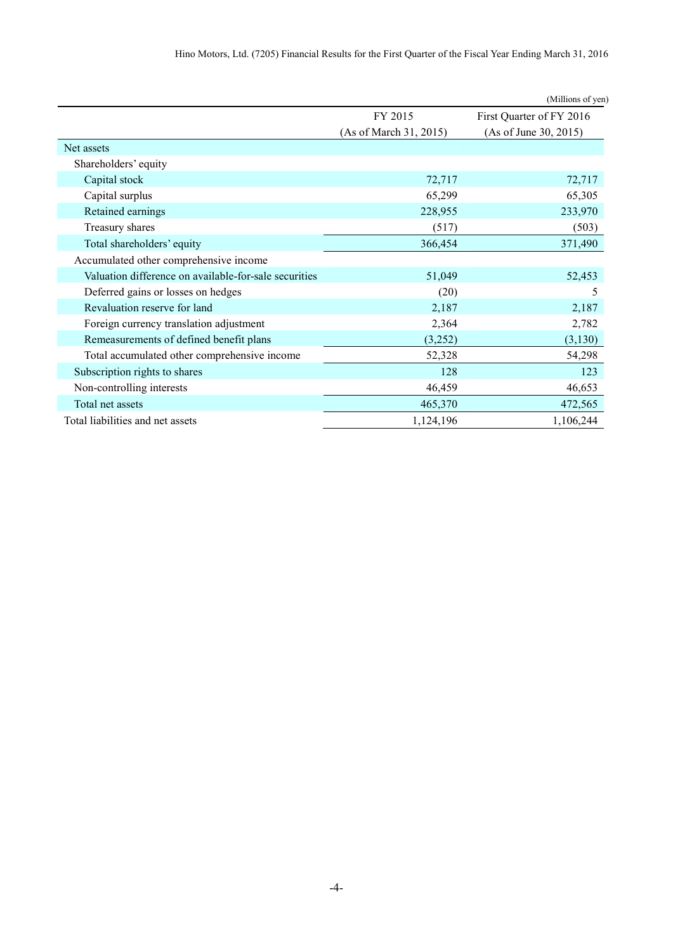|                                                       |                        | (Millions of yen)        |
|-------------------------------------------------------|------------------------|--------------------------|
|                                                       | FY 2015                | First Quarter of FY 2016 |
|                                                       | (As of March 31, 2015) | (As of June 30, 2015)    |
| Net assets                                            |                        |                          |
| Shareholders' equity                                  |                        |                          |
| Capital stock                                         | 72,717                 | 72,717                   |
| Capital surplus                                       | 65,299                 | 65,305                   |
| Retained earnings                                     | 228,955                | 233,970                  |
| Treasury shares                                       | (517)                  | (503)                    |
| Total shareholders' equity                            | 366,454                | 371,490                  |
| Accumulated other comprehensive income                |                        |                          |
| Valuation difference on available-for-sale securities | 51,049                 | 52,453                   |
| Deferred gains or losses on hedges                    | (20)                   | 5                        |
| Revaluation reserve for land                          | 2,187                  | 2,187                    |
| Foreign currency translation adjustment               | 2,364                  | 2,782                    |
| Remeasurements of defined benefit plans               | (3,252)                | (3,130)                  |
| Total accumulated other comprehensive income          | 52,328                 | 54,298                   |
| Subscription rights to shares                         | 128                    | 123                      |
| Non-controlling interests                             | 46,459                 | 46,653                   |
| Total net assets                                      | 465,370                | 472,565                  |
| Total liabilities and net assets                      | 1,124,196              | 1,106,244                |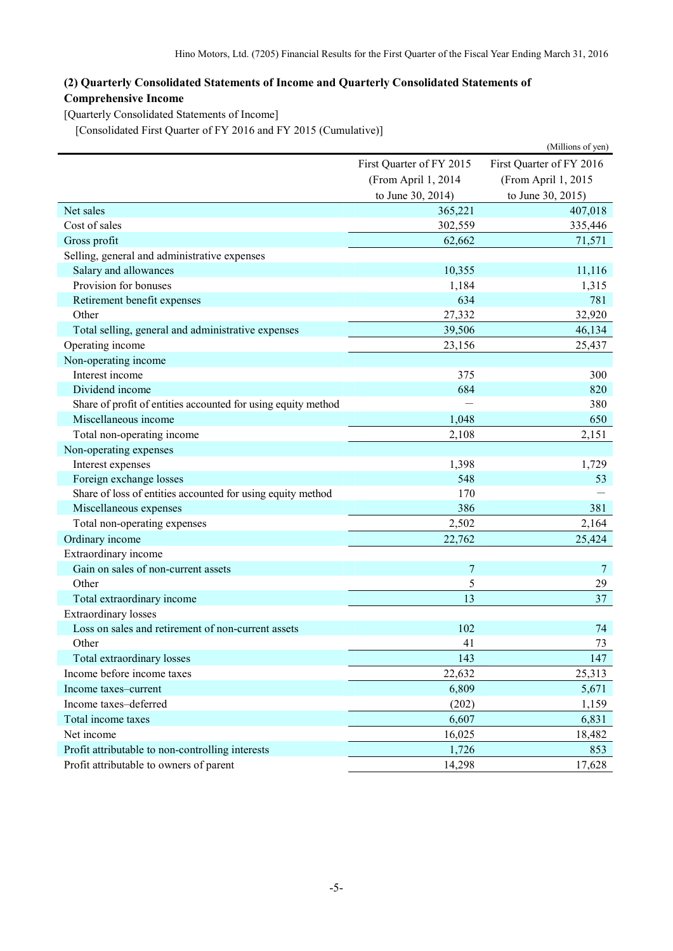# **(2) Quarterly Consolidated Statements of Income and Quarterly Consolidated Statements of Comprehensive Income**

[Quarterly Consolidated Statements of Income]

[Consolidated First Quarter of FY 2016 and FY 2015 (Cumulative)]

|                                                               |                          | (Millions of yen)        |
|---------------------------------------------------------------|--------------------------|--------------------------|
|                                                               | First Quarter of FY 2015 | First Quarter of FY 2016 |
|                                                               | (From April 1, 2014      | (From April 1, 2015      |
|                                                               | to June 30, 2014)        | to June 30, 2015)        |
| Net sales                                                     | 365,221                  | 407,018                  |
| Cost of sales                                                 | 302,559                  | 335,446                  |
| Gross profit                                                  | 62,662                   | 71,571                   |
| Selling, general and administrative expenses                  |                          |                          |
| Salary and allowances                                         | 10,355                   | 11,116                   |
| Provision for bonuses                                         | 1,184                    | 1,315                    |
| Retirement benefit expenses                                   | 634                      | 781                      |
| Other                                                         | 27,332                   | 32,920                   |
| Total selling, general and administrative expenses            | 39,506                   | 46,134                   |
| Operating income                                              | 23,156                   | 25,437                   |
| Non-operating income                                          |                          |                          |
| Interest income                                               | 375                      | 300                      |
| Dividend income                                               | 684                      | 820                      |
| Share of profit of entities accounted for using equity method |                          | 380                      |
| Miscellaneous income                                          | 1,048                    | 650                      |
| Total non-operating income                                    | 2,108                    | 2,151                    |
| Non-operating expenses                                        |                          |                          |
| Interest expenses                                             | 1,398                    | 1,729                    |
| Foreign exchange losses                                       | 548                      | 53                       |
| Share of loss of entities accounted for using equity method   | 170                      |                          |
| Miscellaneous expenses                                        | 386                      | 381                      |
| Total non-operating expenses                                  | 2,502                    | 2,164                    |
| Ordinary income                                               | 22,762                   | 25,424                   |
| Extraordinary income                                          |                          |                          |
| Gain on sales of non-current assets                           | 7                        | 7                        |
| Other                                                         | 5                        | 29                       |
| Total extraordinary income                                    | 13                       | 37                       |
| <b>Extraordinary losses</b>                                   |                          |                          |
| Loss on sales and retirement of non-current assets            | 102                      | 74                       |
| Other                                                         | 41                       | 73                       |
| Total extraordinary losses                                    | 143                      | 147                      |
| Income before income taxes                                    | 22,632                   | 25,313                   |
| Income taxes-current                                          | 6,809                    | 5,671                    |
| Income taxes-deferred                                         | (202)                    | 1,159                    |
| Total income taxes                                            | 6,607                    | 6,831                    |
| Net income                                                    | 16,025                   | 18,482                   |
| Profit attributable to non-controlling interests              | 1,726                    | 853                      |
| Profit attributable to owners of parent                       | 14,298                   | 17,628                   |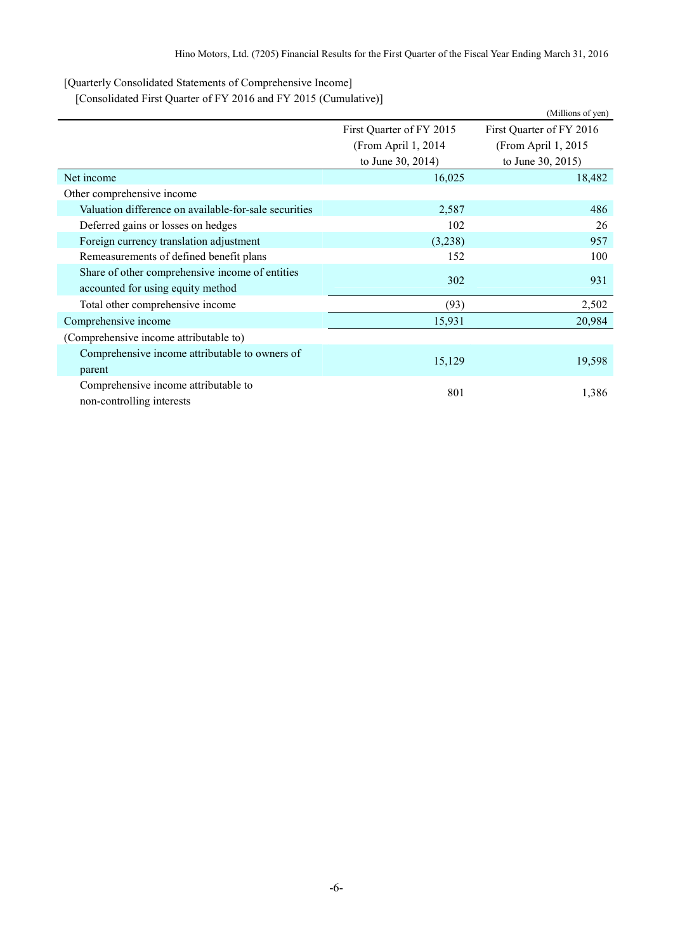[Quarterly Consolidated Statements of Comprehensive Income]

[Consolidated First Quarter of FY 2016 and FY 2015 (Cumulative)]

|                                                       |                          | (Millions of yen)        |  |  |  |
|-------------------------------------------------------|--------------------------|--------------------------|--|--|--|
|                                                       | First Quarter of FY 2015 | First Quarter of FY 2016 |  |  |  |
|                                                       | (From April 1, 2014)     | (From April 1, 2015)     |  |  |  |
|                                                       | to June 30, 2014)        | to June 30, 2015)        |  |  |  |
| Net income                                            | 16,025                   | 18,482                   |  |  |  |
| Other comprehensive income                            |                          |                          |  |  |  |
| Valuation difference on available-for-sale securities | 2,587                    | 486                      |  |  |  |
| Deferred gains or losses on hedges                    | 102                      | 26                       |  |  |  |
| Foreign currency translation adjustment               | (3,238)                  | 957                      |  |  |  |
| Remeasurements of defined benefit plans               | 152                      | 100                      |  |  |  |
| Share of other comprehensive income of entities       | 302                      | 931                      |  |  |  |
| accounted for using equity method                     |                          |                          |  |  |  |
| Total other comprehensive income                      | (93)                     | 2,502                    |  |  |  |
| Comprehensive income                                  | 15,931                   | 20,984                   |  |  |  |
| (Comprehensive income attributable to)                |                          |                          |  |  |  |
| Comprehensive income attributable to owners of        | 15,129                   | 19,598                   |  |  |  |
| parent                                                |                          |                          |  |  |  |
| Comprehensive income attributable to                  | 801                      | 1,386                    |  |  |  |
| non-controlling interests                             |                          |                          |  |  |  |